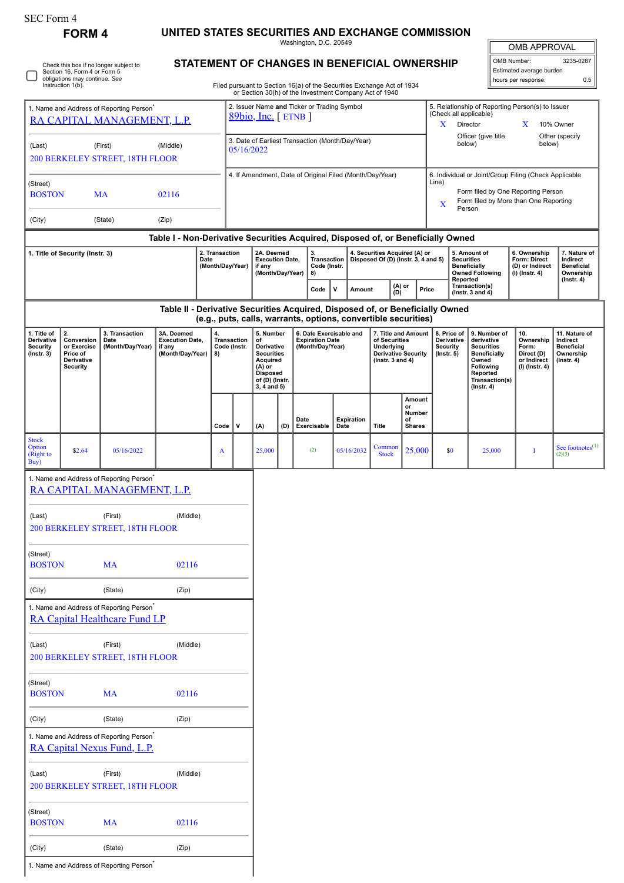| SEC Form 4 |  |
|------------|--|
|------------|--|

## **FORM 4 UNITED STATES SECURITIES AND EXCHANGE COMMISSION**

Washington, D.C. 20549

OMB APPROVAL

| OMB Number:              | 3235-0287 |  |  |  |  |  |
|--------------------------|-----------|--|--|--|--|--|
| Estimated average burden |           |  |  |  |  |  |
| hours per response:      | 0.5       |  |  |  |  |  |

Check this box if no longer subject to Section 16. Form 4 or Form 5 obligations may continue. *See* Instruction 1(b).

## **STATEMENT OF CHANGES IN BENEFICIAL OWNERSHIP**

Filed pursuant to Section 16(a) of the Securities Exchange Act of 1934 or Section 30(h) of the Investment Company Act of 1940

| 1. Name and Address of Reporting Person <sup>®</sup><br>RA CAPITAL MANAGEMENT, L.P.          |                                                                                                                                                                                                                                             |                                                                                     |                                                                                  |                                                                                                                                | 2. Issuer Name and Ticker or Trading Symbol<br>$89bio, Inc.$ [ETNB ] |                                                                       |        |                                                                                                          |                                                                      |                  |                                                                                                                                                              | 5. Relationship of Reporting Person(s) to Issuer<br>(Check all applicable)<br>Director<br>10% Owner<br>X<br>X                                  |                                                                            |                                                                                 |                |                                         |   |                               |
|----------------------------------------------------------------------------------------------|---------------------------------------------------------------------------------------------------------------------------------------------------------------------------------------------------------------------------------------------|-------------------------------------------------------------------------------------|----------------------------------------------------------------------------------|--------------------------------------------------------------------------------------------------------------------------------|----------------------------------------------------------------------|-----------------------------------------------------------------------|--------|----------------------------------------------------------------------------------------------------------|----------------------------------------------------------------------|------------------|--------------------------------------------------------------------------------------------------------------------------------------------------------------|------------------------------------------------------------------------------------------------------------------------------------------------|----------------------------------------------------------------------------|---------------------------------------------------------------------------------|----------------|-----------------------------------------|---|-------------------------------|
| (Last)                                                                                       |                                                                                                                                                                                                                                             | (First)<br>200 BERKELEY STREET, 18TH FLOOR                                          | (Middle)                                                                         |                                                                                                                                | 3. Date of Earliest Transaction (Month/Day/Year)<br>05/16/2022       |                                                                       |        |                                                                                                          |                                                                      |                  |                                                                                                                                                              | below)                                                                                                                                         | Officer (give title                                                        | below)                                                                          | Other (specify |                                         |   |                               |
| (Street)<br><b>BOSTON</b>                                                                    |                                                                                                                                                                                                                                             | MA                                                                                  | 02116                                                                            |                                                                                                                                | 4. If Amendment, Date of Original Filed (Month/Day/Year)             |                                                                       |        |                                                                                                          |                                                                      |                  | 6. Individual or Joint/Group Filing (Check Applicable<br>Line)<br>Form filed by One Reporting Person<br>Form filed by More than One Reporting<br>X<br>Person |                                                                                                                                                |                                                                            |                                                                                 |                |                                         |   |                               |
| (City)                                                                                       |                                                                                                                                                                                                                                             | (State)                                                                             | (Zip)                                                                            |                                                                                                                                |                                                                      |                                                                       |        |                                                                                                          |                                                                      |                  |                                                                                                                                                              |                                                                                                                                                |                                                                            |                                                                                 |                |                                         |   |                               |
|                                                                                              |                                                                                                                                                                                                                                             |                                                                                     | Table I - Non-Derivative Securities Acquired, Disposed of, or Beneficially Owned |                                                                                                                                |                                                                      |                                                                       |        |                                                                                                          |                                                                      |                  |                                                                                                                                                              |                                                                                                                                                |                                                                            |                                                                                 |                |                                         |   |                               |
| 2. Transaction<br>1. Title of Security (Instr. 3)<br>Date<br>(Month/Day/Year)                |                                                                                                                                                                                                                                             |                                                                                     | 2A. Deemed<br><b>Execution Date,</b><br>if any<br>(Month/Day/Year)               |                                                                                                                                |                                                                      | 3.<br>Transaction<br>Code (Instr.<br>8)                               |        |                                                                                                          | 4. Securities Acquired (A) or<br>Disposed Of (D) (Instr. 3, 4 and 5) |                  | 5. Amount of<br><b>Securities</b><br><b>Beneficially</b><br><b>Owned Following</b><br>Reported                                                               |                                                                                                                                                | 6. Ownership<br>Form: Direct<br>(D) or Indirect<br>$(I)$ (Instr. 4)        | 7. Nature of<br>Indirect<br><b>Beneficial</b><br>Ownership<br>$($ Instr. 4 $)$  |                |                                         |   |                               |
|                                                                                              |                                                                                                                                                                                                                                             |                                                                                     |                                                                                  |                                                                                                                                |                                                                      |                                                                       |        |                                                                                                          | Code                                                                 | $\mathsf{v}$     | Amount                                                                                                                                                       |                                                                                                                                                | $(A)$ or<br>(D)                                                            | Price                                                                           |                | Transaction(s)<br>(Instr. $3$ and $4$ ) |   |                               |
|                                                                                              |                                                                                                                                                                                                                                             |                                                                                     | Table II - Derivative Securities Acquired, Disposed of, or Beneficially Owned    |                                                                                                                                |                                                                      |                                                                       |        |                                                                                                          | (e.g., puts, calls, warrants, options, convertible securities)       |                  |                                                                                                                                                              |                                                                                                                                                |                                                                            |                                                                                 |                |                                         |   |                               |
| 1. Title of<br>Derivative<br><b>Security</b><br>$($ Instr. 3 $)$                             | 2.<br>3. Transaction<br>3A. Deemed<br>4.<br>Transaction<br><b>Execution Date,</b><br>Conversion<br>Date<br>or Exercise<br>(Month/Day/Year)<br>if any<br>Code (Instr.<br>(Month/Day/Year)<br>Price of<br>8)<br>Derivative<br><b>Security</b> |                                                                                     |                                                                                  | 5. Number<br>of<br>Derivative<br><b>Securities</b><br>Acquired<br>$(A)$ or<br><b>Disposed</b><br>of (D) (Instr.<br>3, 4 and 5) |                                                                      | 6. Date Exercisable and<br><b>Expiration Date</b><br>(Month/Day/Year) |        | 7. Title and Amount<br>of Securities<br>Underlying<br><b>Derivative Security</b><br>( $lnstr. 3 and 4$ ) |                                                                      | $($ Instr. 5 $)$ | 8. Price of<br>Derivative<br><b>Security</b>                                                                                                                 | 9. Number of<br>derivative<br><b>Securities</b><br><b>Beneficially</b><br>Owned<br>Following<br>Reported<br>Transaction(s)<br>$($ Instr. 4 $)$ | 10.<br>Ownership<br>Form:<br>Direct (D)<br>or Indirect<br>$(I)$ (Instr. 4) | 11. Nature of<br>Indirect<br><b>Beneficial</b><br>Ownership<br>$($ Instr. 4 $)$ |                |                                         |   |                               |
|                                                                                              |                                                                                                                                                                                                                                             |                                                                                     |                                                                                  | Code                                                                                                                           | v                                                                    |                                                                       | (A)    | (D)                                                                                                      | Date<br>Exercisable                                                  |                  | <b>Expiration</b><br>Date                                                                                                                                    | <b>Title</b>                                                                                                                                   | Amount<br>or<br>Number<br>of<br><b>Shares</b>                              |                                                                                 |                |                                         |   |                               |
| <b>Stock</b><br>Option<br>(Right to<br>Buy)                                                  | \$2.64                                                                                                                                                                                                                                      | 05/16/2022                                                                          |                                                                                  | A                                                                                                                              |                                                                      |                                                                       | 25,000 |                                                                                                          | (2)                                                                  |                  | 05/16/2032                                                                                                                                                   | Common<br><b>Stock</b>                                                                                                                         | 25,000                                                                     |                                                                                 | \$0            | 25,000                                  | Т | See footnotes $(1)$<br>(2)(3) |
|                                                                                              |                                                                                                                                                                                                                                             | 1. Name and Address of Reporting Person <sup>®</sup><br>RA CAPITAL MANAGEMENT, L.P. |                                                                                  |                                                                                                                                |                                                                      |                                                                       |        |                                                                                                          |                                                                      |                  |                                                                                                                                                              |                                                                                                                                                |                                                                            |                                                                                 |                |                                         |   |                               |
| (Last)<br>(First)<br>(Middle)<br>200 BERKELEY STREET, 18TH FLOOR                             |                                                                                                                                                                                                                                             |                                                                                     |                                                                                  |                                                                                                                                |                                                                      |                                                                       |        |                                                                                                          |                                                                      |                  |                                                                                                                                                              |                                                                                                                                                |                                                                            |                                                                                 |                |                                         |   |                               |
| (Street)<br><b>BOSTON</b>                                                                    |                                                                                                                                                                                                                                             | <b>MA</b>                                                                           | 02116                                                                            |                                                                                                                                |                                                                      |                                                                       |        |                                                                                                          |                                                                      |                  |                                                                                                                                                              |                                                                                                                                                |                                                                            |                                                                                 |                |                                         |   |                               |
| (City)                                                                                       |                                                                                                                                                                                                                                             | (State)                                                                             | (Zip)                                                                            |                                                                                                                                |                                                                      |                                                                       |        |                                                                                                          |                                                                      |                  |                                                                                                                                                              |                                                                                                                                                |                                                                            |                                                                                 |                |                                         |   |                               |
| 1. Name and Address of Reporting Person <sup>*</sup><br><b>RA Capital Healthcare Fund LP</b> |                                                                                                                                                                                                                                             |                                                                                     |                                                                                  |                                                                                                                                |                                                                      |                                                                       |        |                                                                                                          |                                                                      |                  |                                                                                                                                                              |                                                                                                                                                |                                                                            |                                                                                 |                |                                         |   |                               |
| (First)<br>(Last)<br>(Middle)<br>200 BERKELEY STREET, 18TH FLOOR                             |                                                                                                                                                                                                                                             |                                                                                     |                                                                                  |                                                                                                                                |                                                                      |                                                                       |        |                                                                                                          |                                                                      |                  |                                                                                                                                                              |                                                                                                                                                |                                                                            |                                                                                 |                |                                         |   |                               |
| (Street)<br><b>BOSTON</b>                                                                    |                                                                                                                                                                                                                                             | <b>MA</b>                                                                           | 02116                                                                            |                                                                                                                                |                                                                      |                                                                       |        |                                                                                                          |                                                                      |                  |                                                                                                                                                              |                                                                                                                                                |                                                                            |                                                                                 |                |                                         |   |                               |
| (City)                                                                                       |                                                                                                                                                                                                                                             | (State)                                                                             | (Zip)                                                                            |                                                                                                                                |                                                                      |                                                                       |        |                                                                                                          |                                                                      |                  |                                                                                                                                                              |                                                                                                                                                |                                                                            |                                                                                 |                |                                         |   |                               |
|                                                                                              |                                                                                                                                                                                                                                             | 1. Name and Address of Reporting Person <sup>*</sup><br>RA Capital Nexus Fund, L.P. |                                                                                  |                                                                                                                                |                                                                      |                                                                       |        |                                                                                                          |                                                                      |                  |                                                                                                                                                              |                                                                                                                                                |                                                                            |                                                                                 |                |                                         |   |                               |
| (First)<br>(Middle)<br>(Last)<br>200 BERKELEY STREET, 18TH FLOOR                             |                                                                                                                                                                                                                                             |                                                                                     |                                                                                  |                                                                                                                                |                                                                      |                                                                       |        |                                                                                                          |                                                                      |                  |                                                                                                                                                              |                                                                                                                                                |                                                                            |                                                                                 |                |                                         |   |                               |
| (Street)<br><b>BOSTON</b>                                                                    |                                                                                                                                                                                                                                             | <b>MA</b>                                                                           | 02116                                                                            |                                                                                                                                |                                                                      |                                                                       |        |                                                                                                          |                                                                      |                  |                                                                                                                                                              |                                                                                                                                                |                                                                            |                                                                                 |                |                                         |   |                               |
| (City)                                                                                       |                                                                                                                                                                                                                                             | (State)                                                                             | (Zip)                                                                            |                                                                                                                                |                                                                      |                                                                       |        |                                                                                                          |                                                                      |                  |                                                                                                                                                              |                                                                                                                                                |                                                                            |                                                                                 |                |                                         |   |                               |